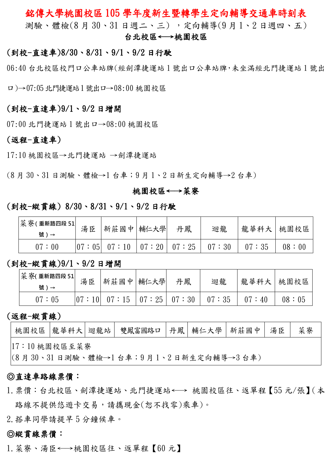## 銘傳大學桃園校區 105 學年度新生暨轉學生定向輔導交通車時刻表

測驗、體檢(8 月 30、31 日週二、三) ,定向輔導(9 月 1、2 日週四、五)

#### 台北校區←→桃園校區

### (到校-直達車)8/30、8/31、9/1、9/2 日行駛

06:40 台北校區校門口公車站牌(經劍潭捷運站 1 號出口公車站牌,未坐滿經北門捷運站 1 號出

口)→07:05北門捷運站1號出口→08:00 桃園校區

#### (到校-直達車)9/1、9/2 日增開

07:00 北門捷運站 1 號出口→08:00 桃園校區

#### (返程-直達車)

17:10 桃園校區→北門捷運站 →劍潭捷運站

(8 月 30、31 日測驗、體檢→1 台車;9 月 1、2 日新生定向輔導→2 台車)

#### 桃園校區←→菜寮

#### (到校-縱貫線) 8/30、8/31、9/1、9/2 日行駛

| 菜 寮(重新路四段 51<br>號)→ | 湯臣    | 新莊國中 輔仁大學 | 丹鳳                      | 迴龍    | 龍華科大 桃園校區 |       |
|---------------------|-------|-----------|-------------------------|-------|-----------|-------|
| 07:00               | 07:05 | 07:10     | $\mid 07:20 \mid 07:25$ | 07:30 | 07:35     | 08:00 |

#### (到校-縱貫線)9/1、9/2 日增開

| 菜 寮(重新路四段 51 | 湯臣 | 新莊國中 輔仁大學       | 丹鳳                              | 迴龍    |       | 龍華科大   桃園校區 |
|--------------|----|-----------------|---------------------------------|-------|-------|-------------|
| 號)→          |    |                 |                                 |       |       |             |
| 07:05        |    | $ 07:10 $ 07:15 | $\vert 07:25 \vert 07:30 \vert$ | 07:35 | 07:40 | 08:05       |

## (返程-縱貫線)

|                                      |  |  | 桃園校區  龍華科大 迴龍站  雙鳳富國路口  丹鳳   輔仁大學   新莊國中   湯臣 |  |  |  |  | 菜寮 |
|--------------------------------------|--|--|-----------------------------------------------|--|--|--|--|----|
| 7:10桃園校區至菜寮                          |  |  |                                               |  |  |  |  |    |
| (8月30、31日測驗、體檢→1台車;9月1、2日新生定向輔導→3台車) |  |  |                                               |  |  |  |  |    |

#### ◎直達車路線票價:

- 1.票價:台北校區、劍潭捷運站、北門捷運站←→ 桃園校區往、返單程【55 元/張】(本 路線不提供悠遊卡交易,請攜現金(恕不找零)乘車)。
- 2.搭車同學請提早 5 分鐘候車。

#### ◎縱貫線票價:

1.菜寮、湯臣←→桃園校區往、返單程【60 元】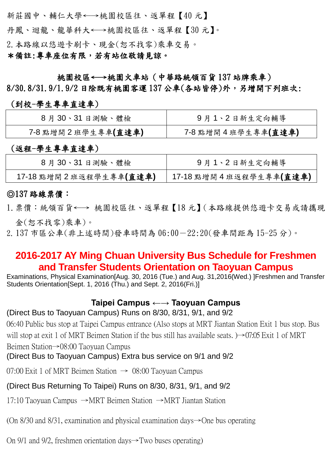新莊國中、輔仁大學←→桃園校區往、返單程【40 元】 丹鳳、迴龍、龍華科大←→桃園校區往、返單程【30 元】。 2.本路線以悠遊卡刷卡、現金(恕不找零)乘車交易。 \*備註:專車座位有限,若有站位敬請見諒。

桃園校區←→桃園火車站(中華路統領百貨 137 站牌乘車)

8/30.8/31.9/1.9/2 日除既有桃園客運 137 公車(各站皆停)外,另增開下列班次:

### (到校-學生專車直達車)

| 8月30、31日測驗、體檢     | 9月1、2日新生定向輔導      |
|-------------------|-------------------|
| 7-8點增開2班學生專車(直達車) | 7-8點增開4班學生專車(直達車) |

## (返程-學生專車直達車)

| 8月30、31日測驗、體檢         | 9月1、2日新生定向輔導          |
|-----------------------|-----------------------|
| 17-18點增開2班返程學生專車(直達車) | 17-18點增開4班返程學生專車(直達車) |

## ◎137 路線票價:

- 1.票價:統領百貨←→ 桃園校區往、返單程【18 元】(本路線提供悠遊卡交易或請攜現 金(恕不找零)乘車)。
- 2. 137 市區公車(非上述時間)發車時間為 06:00-22:20(發車間距為 15-25 分)。

# **2016-2017 AY Ming Chuan University Bus Schedule for Freshmen and Transfer Students Orientation on Taoyuan Campus**

Examinations, Physical Examination[Aug. 30, 2016 (Tue.) and Aug. 31,2016(Wed.) ]Freshmen and Transfer Students Orientation[Sept. 1, 2016 (Thu.) and Sept. 2, 2016(Fri.)]

## **Taipei Campus ←→ Taoyuan Campus**

### (Direct Bus to Taoyuan Campus) Runs on 8/30, 8/31, 9/1, and 9/2

06:40 Public bus stop at Taipei Campus entrance (Also stops at MRT Jiantan Station Exit 1 bus stop. Bus will stop at exit 1 of MRT Beimen Station if the bus still has available seats.  $\rightarrow$  07:05 Exit 1 of MRT Beimen Station→08:00 Taoyuan Campus

(Direct Bus to Taoyuan Campus) Extra bus service on 9/1 and 9/2

07:00 Exit 1 of MRT Beimen Station  $\rightarrow$  08:00 Taoyuan Campus

## (Direct Bus Returning To Taipei) Runs on 8/30, 8/31, 9/1, and 9/2

17:10 Taoyuan Campus →MRT Beimen Station →MRT Jiantan Station

(On 8/30 and 8/31, examination and physical examination days→One bus operating

On 9/1 and 9/2, freshmen orientation days→Two buses operating)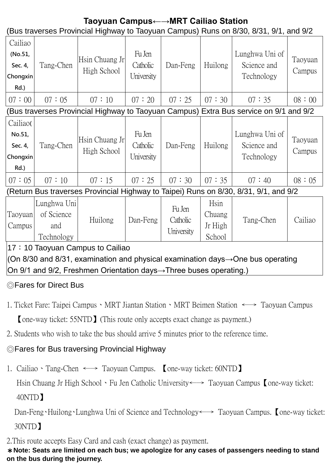# **Taoyuan Campus←→MRT Cailiao Station**

(Bus traverses Provincial Highway to Taoyuan Campus) Runs on 8/30, 8/31, 9/1, and 9/2

| Cailiao  |           |                |                    |          |         |                               |                   |
|----------|-----------|----------------|--------------------|----------|---------|-------------------------------|-------------------|
| (No.51,  |           | Hsin Chuang Jr | Fu Jen<br>Catholic | Dan-Feng | Huilong | Lunghwa Uni of<br>Science and | Taoyuan<br>Campus |
| Sec. 4,  | Tang-Chen | High School    |                    |          |         |                               |                   |
| Chongxin |           |                | University         |          |         | Technology                    |                   |
| $Rd.$ )  |           |                |                    |          |         |                               |                   |
| 07:00    | 07:05     | 07:10          | 07:20              | 07:25    | 07:30   | 07:35                         | 08:00             |

# (Bus traverses Provincial Highway to Taoyuan Campus) Extra Bus service on 9/1 and 9/2

| Cailiao(<br>No.51, |           | Hsin Chuang Jr<br>High School | Fu Jen<br>Catholic |          | Huilong | Lunghwa Uni of |                   |
|--------------------|-----------|-------------------------------|--------------------|----------|---------|----------------|-------------------|
| Sec. 4,            | Tang-Chen |                               |                    | Dan-Feng |         | Science and    | Taoyuan<br>Campus |
| Chongxin<br>Rd.)   |           |                               | University         |          |         | Technology     |                   |
| 07:05              | 07:10     | 07:15                         | 07:25              | 07:30    | 07:35   | 07:40          | 08:05             |

(Return Bus traverses Provincial Highway to Taipei) Runs on 8/30, 8/31, 9/1, and 9/2

| $\sim$ $\sim$ $\sim$ $\sim$ |             | <b>A</b> |          |            |         |           |         |
|-----------------------------|-------------|----------|----------|------------|---------|-----------|---------|
|                             | Technology  |          |          | University | School  |           |         |
| Campus                      | and         |          |          |            | Jr High |           |         |
| Taoyuan                     | of Science  | Huilong  | Dan-Feng | Catholic   | Chuang  | Tang-Chen | Cailiao |
|                             | Lunghwa Uni |          |          | Fu Jen     | Hsin    |           |         |

## 17:10 Taoyuan Campus to Cailiao

(On 8/30 and 8/31, examination and physical examination days→One bus operating On 9/1 and 9/2, Freshmen Orientation days→Three buses operating.)

# ◎Fares for Direct Bus

- 1. Ticket Fare: Taipei Campus、MRT Jiantan Station、MRT Beimen Station ←→ Taoyuan Campus 【one-way ticket: 55NTD】(This route only accepts exact change as payment.)
- 2. Students who wish to take the bus should arrive 5 minutes prior to the reference time.

# ◎Fares for Bus traversing Provincial Highway

1. Cailiao、Tang-Chen ←→ Taoyuan Campus. 【one-way ticket: 60NTD】

Hsin Chuang Jr High School、Fu Jen Catholic University←→ Taoyuan Campus【one-way ticket: 40NTD】

Dan-Feng、Huilong、Lunghwa Uni of Science and Technology ←→ Taoyuan Campus. Lone-way ticket: 30NTD】

2.This route accepts Easy Card and cash (exact change) as payment.

\***Note: Seats are limited on each bus; we apologize for any cases of passengers needing to stand on the bus during the journey.**